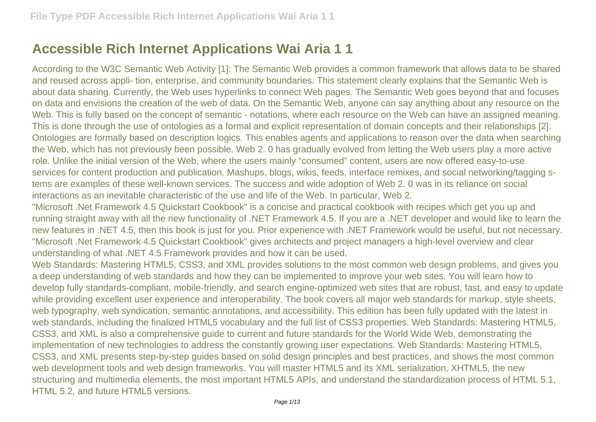## **Accessible Rich Internet Applications Wai Aria 1 1**

According to the W3C Semantic Web Activity [1]: The Semantic Web provides a common framework that allows data to be shared and reused across appli- tion, enterprise, and community boundaries. This statement clearly explains that the Semantic Web is about data sharing. Currently, the Web uses hyperlinks to connect Web pages. The Semantic Web goes beyond that and focuses on data and envisions the creation of the web of data. On the Semantic Web, anyone can say anything about any resource on the Web. This is fully based on the concept of semantic - notations, where each resource on the Web can have an assigned meaning. This is done through the use of ontologies as a formal and explicit representation of domain concepts and their relationships [2]. Ontologies are formally based on description logics. This enables agents and applications to reason over the data when searching the Web, which has not previously been possible. Web 2. 0 has gradually evolved from letting the Web users play a more active role. Unlike the initial version of the Web, where the users mainly "consumed" content, users are now offered easy-to-use services for content production and publication. Mashups, blogs, wikis, feeds, interface remixes, and social networking/tagging stems are examples of these well-known services. The success and wide adoption of Web 2. 0 was in its reliance on social interactions as an inevitable characteristic of the use and life of the Web. In particular, Web 2.

"Microsoft .Net Framework 4.5 Quickstart Cookbook" is a concise and practical cookbook with recipes which get you up and running straight away with all the new functionality of .NET Framework 4.5. If you are a .NET developer and would like to learn the new features in .NET 4.5, then this book is just for you. Prior experience with .NET Framework would be useful, but not necessary. "Microsoft .Net Framework 4.5 Quickstart Cookbook" gives architects and project managers a high-level overview and clear understanding of what .NET 4.5 Framework provides and how it can be used.

Web Standards: Mastering HTML5, CSS3, and XML provides solutions to the most common web design problems, and gives you a deep understanding of web standards and how they can be implemented to improve your web sites. You will learn how to develop fully standards-compliant, mobile-friendly, and search engine-optimized web sites that are robust, fast, and easy to update while providing excellent user experience and interoperability. The book covers all major web standards for markup, style sheets, web typography, web syndication, semantic annotations, and accessibility. This edition has been fully updated with the latest in web standards, including the finalized HTML5 vocabulary and the full list of CSS3 properties. Web Standards: Mastering HTML5, CSS3, and XML is also a comprehensive guide to current and future standards for the World Wide Web, demonstrating the implementation of new technologies to address the constantly growing user expectations. Web Standards: Mastering HTML5, CSS3, and XML presents step-by-step guides based on solid design principles and best practices, and shows the most common web development tools and web design frameworks. You will master HTML5 and its XML serialization, XHTML5, the new structuring and multimedia elements, the most important HTML5 APIs, and understand the standardization process of HTML 5.1, HTML 5.2, and future HTML5 versions.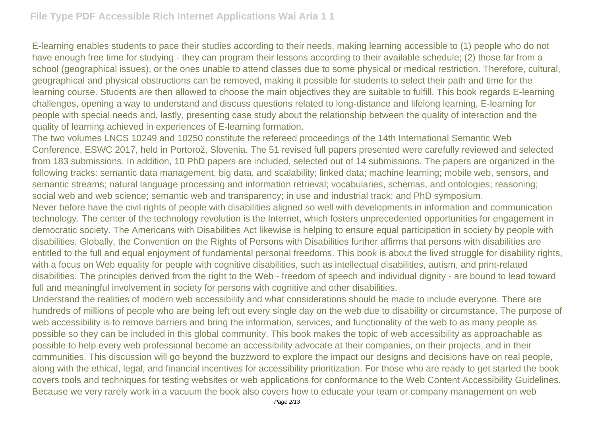E-learning enables students to pace their studies according to their needs, making learning accessible to (1) people who do not have enough free time for studying - they can program their lessons according to their available schedule; (2) those far from a school (geographical issues), or the ones unable to attend classes due to some physical or medical restriction. Therefore, cultural, geographical and physical obstructions can be removed, making it possible for students to select their path and time for the learning course. Students are then allowed to choose the main objectives they are suitable to fulfill. This book regards E-learning challenges, opening a way to understand and discuss questions related to long-distance and lifelong learning, E-learning for people with special needs and, lastly, presenting case study about the relationship between the quality of interaction and the quality of learning achieved in experiences of E-learning formation.

The two volumes LNCS 10249 and 10250 constitute the refereed proceedings of the 14th International Semantic Web Conference, ESWC 2017, held in Portorož, Slovenia. The 51 revised full papers presented were carefully reviewed and selected from 183 submissions. In addition, 10 PhD papers are included, selected out of 14 submissions. The papers are organized in the following tracks: semantic data management, big data, and scalability; linked data; machine learning; mobile web, sensors, and semantic streams; natural language processing and information retrieval; vocabularies, schemas, and ontologies; reasoning; social web and web science; semantic web and transparency; in use and industrial track; and PhD symposium.

Never before have the civil rights of people with disabilities aligned so well with developments in information and communication technology. The center of the technology revolution is the Internet, which fosters unprecedented opportunities for engagement in democratic society. The Americans with Disabilities Act likewise is helping to ensure equal participation in society by people with disabilities. Globally, the Convention on the Rights of Persons with Disabilities further affirms that persons with disabilities are entitled to the full and equal enjoyment of fundamental personal freedoms. This book is about the lived struggle for disability rights, with a focus on Web equality for people with cognitive disabilities, such as intellectual disabilities, autism, and print-related disabilities. The principles derived from the right to the Web - freedom of speech and individual dignity - are bound to lead toward full and meaningful involvement in society for persons with cognitive and other disabilities.

Understand the realities of modern web accessibility and what considerations should be made to include everyone. There are hundreds of millions of people who are being left out every single day on the web due to disability or circumstance. The purpose of web accessibility is to remove barriers and bring the information, services, and functionality of the web to as many people as possible so they can be included in this global community. This book makes the topic of web accessibility as approachable as possible to help every web professional become an accessibility advocate at their companies, on their projects, and in their communities. This discussion will go beyond the buzzword to explore the impact our designs and decisions have on real people, along with the ethical, legal, and financial incentives for accessibility prioritization. For those who are ready to get started the book covers tools and techniques for testing websites or web applications for conformance to the Web Content Accessibility Guidelines. Because we very rarely work in a vacuum the book also covers how to educate your team or company management on web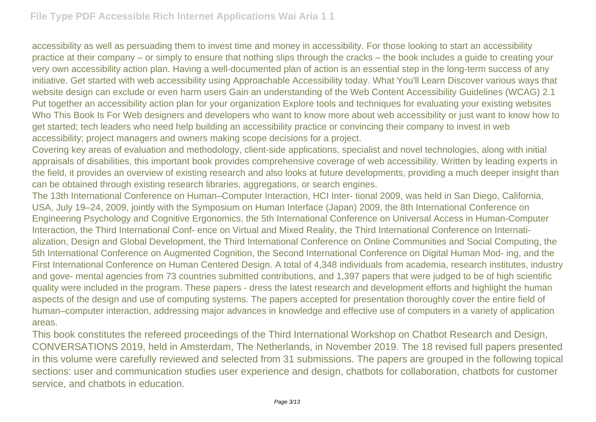accessibility as well as persuading them to invest time and money in accessibility. For those looking to start an accessibility practice at their company – or simply to ensure that nothing slips through the cracks – the book includes a guide to creating your very own accessibility action plan. Having a well-documented plan of action is an essential step in the long-term success of any initiative. Get started with web accessibility using Approachable Accessibility today. What You'll Learn Discover various ways that website design can exclude or even harm users Gain an understanding of the Web Content Accessibility Guidelines (WCAG) 2.1 Put together an accessibility action plan for your organization Explore tools and techniques for evaluating your existing websites Who This Book Is For Web designers and developers who want to know more about web accessibility or just want to know how to get started; tech leaders who need help building an accessibility practice or convincing their company to invest in web accessibility; project managers and owners making scope decisions for a project.

Covering key areas of evaluation and methodology, client-side applications, specialist and novel technologies, along with initial appraisals of disabilities, this important book provides comprehensive coverage of web accessibility. Written by leading experts in the field, it provides an overview of existing research and also looks at future developments, providing a much deeper insight than can be obtained through existing research libraries, aggregations, or search engines.

The 13th International Conference on Human–Computer Interaction, HCI Inter- tional 2009, was held in San Diego, California, USA, July 19–24, 2009, jointly with the Symposium on Human Interface (Japan) 2009, the 8th International Conference on Engineering Psychology and Cognitive Ergonomics, the 5th International Conference on Universal Access in Human-Computer Interaction, the Third International Conf- ence on Virtual and Mixed Reality, the Third International Conference on Internatialization, Design and Global Development, the Third International Conference on Online Communities and Social Computing, the 5th International Conference on Augmented Cognition, the Second International Conference on Digital Human Mod- ing, and the First International Conference on Human Centered Design. A total of 4,348 individuals from academia, research institutes, industry and gove- mental agencies from 73 countries submitted contributions, and 1,397 papers that were judged to be of high scientific quality were included in the program. These papers - dress the latest research and development efforts and highlight the human aspects of the design and use of computing systems. The papers accepted for presentation thoroughly cover the entire field of human–computer interaction, addressing major advances in knowledge and effective use of computers in a variety of application areas.

This book constitutes the refereed proceedings of the Third International Workshop on Chatbot Research and Design, CONVERSATIONS 2019, held in Amsterdam, The Netherlands, in November 2019. The 18 revised full papers presented in this volume were carefully reviewed and selected from 31 submissions. The papers are grouped in the following topical sections: user and communication studies user experience and design, chatbots for collaboration, chatbots for customer service, and chatbots in education.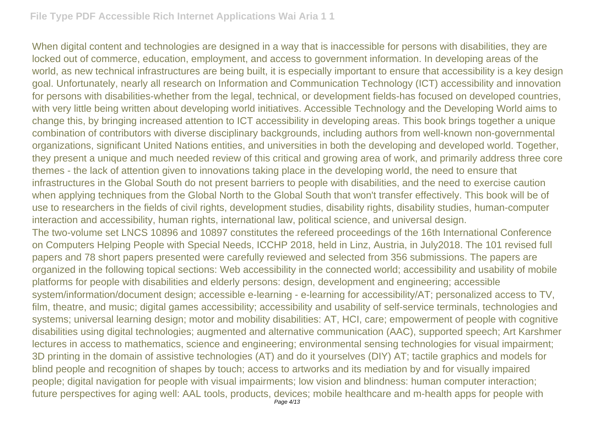When digital content and technologies are designed in a way that is inaccessible for persons with disabilities, they are locked out of commerce, education, employment, and access to government information. In developing areas of the world, as new technical infrastructures are being built, it is especially important to ensure that accessibility is a key design goal. Unfortunately, nearly all research on Information and Communication Technology (ICT) accessibility and innovation for persons with disabilities-whether from the legal, technical, or development fields-has focused on developed countries, with very little being written about developing world initiatives. Accessible Technology and the Developing World aims to change this, by bringing increased attention to ICT accessibility in developing areas. This book brings together a unique combination of contributors with diverse disciplinary backgrounds, including authors from well-known non-governmental organizations, significant United Nations entities, and universities in both the developing and developed world. Together, they present a unique and much needed review of this critical and growing area of work, and primarily address three core themes - the lack of attention given to innovations taking place in the developing world, the need to ensure that infrastructures in the Global South do not present barriers to people with disabilities, and the need to exercise caution when applying techniques from the Global North to the Global South that won't transfer effectively. This book will be of use to researchers in the fields of civil rights, development studies, disability rights, disability studies, human-computer interaction and accessibility, human rights, international law, political science, and universal design. The two-volume set LNCS 10896 and 10897 constitutes the refereed proceedings of the 16th International Conference on Computers Helping People with Special Needs, ICCHP 2018, held in Linz, Austria, in July2018. The 101 revised full papers and 78 short papers presented were carefully reviewed and selected from 356 submissions. The papers are organized in the following topical sections: Web accessibility in the connected world; accessibility and usability of mobile platforms for people with disabilities and elderly persons: design, development and engineering; accessible system/information/document design; accessible e-learning - e-learning for accessibility/AT; personalized access to TV, film, theatre, and music; digital games accessibility; accessibility and usability of self-service terminals, technologies and systems; universal learning design; motor and mobility disabilities: AT, HCI, care; empowerment of people with cognitive disabilities using digital technologies; augmented and alternative communication (AAC), supported speech; Art Karshmer lectures in access to mathematics, science and engineering; environmental sensing technologies for visual impairment; 3D printing in the domain of assistive technologies (AT) and do it yourselves (DIY) AT; tactile graphics and models for blind people and recognition of shapes by touch; access to artworks and its mediation by and for visually impaired people; digital navigation for people with visual impairments; low vision and blindness: human computer interaction; future perspectives for aging well: AAL tools, products, devices; mobile healthcare and m-health apps for people with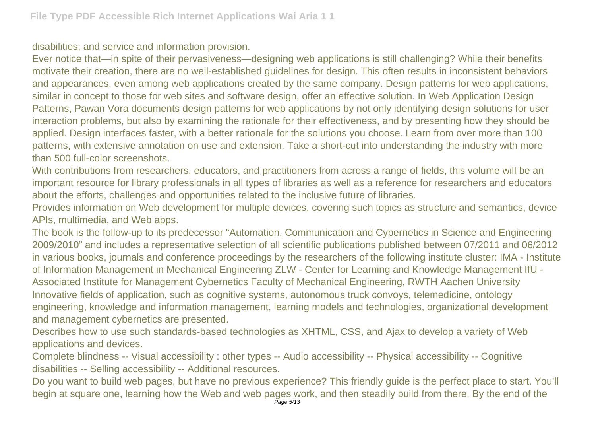disabilities; and service and information provision.

Ever notice that—in spite of their pervasiveness—designing web applications is still challenging? While their benefits motivate their creation, there are no well-established guidelines for design. This often results in inconsistent behaviors and appearances, even among web applications created by the same company. Design patterns for web applications, similar in concept to those for web sites and software design, offer an effective solution. In Web Application Design Patterns, Pawan Vora documents design patterns for web applications by not only identifying design solutions for user interaction problems, but also by examining the rationale for their effectiveness, and by presenting how they should be applied. Design interfaces faster, with a better rationale for the solutions you choose. Learn from over more than 100 patterns, with extensive annotation on use and extension. Take a short-cut into understanding the industry with more than 500 full-color screenshots.

With contributions from researchers, educators, and practitioners from across a range of fields, this volume will be an important resource for library professionals in all types of libraries as well as a reference for researchers and educators about the efforts, challenges and opportunities related to the inclusive future of libraries.

Provides information on Web development for multiple devices, covering such topics as structure and semantics, device APIs, multimedia, and Web apps.

The book is the follow-up to its predecessor "Automation, Communication and Cybernetics in Science and Engineering 2009/2010" and includes a representative selection of all scientific publications published between 07/2011 and 06/2012 in various books, journals and conference proceedings by the researchers of the following institute cluster: IMA - Institute of Information Management in Mechanical Engineering ZLW - Center for Learning and Knowledge Management IfU - Associated Institute for Management Cybernetics Faculty of Mechanical Engineering, RWTH Aachen University Innovative fields of application, such as cognitive systems, autonomous truck convoys, telemedicine, ontology engineering, knowledge and information management, learning models and technologies, organizational development and management cybernetics are presented.

Describes how to use such standards-based technologies as XHTML, CSS, and Ajax to develop a variety of Web applications and devices.

Complete blindness -- Visual accessibility : other types -- Audio accessibility -- Physical accessibility -- Cognitive disabilities -- Selling accessibility -- Additional resources.

Do you want to build web pages, but have no previous experience? This friendly guide is the perfect place to start. You'll begin at square one, learning how the Web and web pages work, and then steadily build from there. By the end of the Page 5/13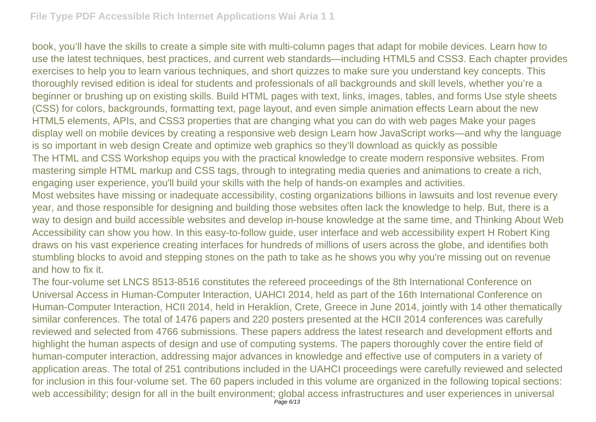book, you'll have the skills to create a simple site with multi-column pages that adapt for mobile devices. Learn how to use the latest techniques, best practices, and current web standards—including HTML5 and CSS3. Each chapter provides exercises to help you to learn various techniques, and short quizzes to make sure you understand key concepts. This thoroughly revised edition is ideal for students and professionals of all backgrounds and skill levels, whether you're a beginner or brushing up on existing skills. Build HTML pages with text, links, images, tables, and forms Use style sheets (CSS) for colors, backgrounds, formatting text, page layout, and even simple animation effects Learn about the new HTML5 elements, APIs, and CSS3 properties that are changing what you can do with web pages Make your pages display well on mobile devices by creating a responsive web design Learn how JavaScript works—and why the language is so important in web design Create and optimize web graphics so they'll download as quickly as possible The HTML and CSS Workshop equips you with the practical knowledge to create modern responsive websites. From mastering simple HTML markup and CSS tags, through to integrating media queries and animations to create a rich, engaging user experience, you'll build your skills with the help of hands-on examples and activities. Most websites have missing or inadequate accessibility, costing organizations billions in lawsuits and lost revenue every year, and those responsible for designing and building those websites often lack the knowledge to help. But, there is a way to design and build accessible websites and develop in-house knowledge at the same time, and Thinking About Web Accessibility can show you how. In this easy-to-follow guide, user interface and web accessibility expert H Robert King draws on his vast experience creating interfaces for hundreds of millions of users across the globe, and identifies both stumbling blocks to avoid and stepping stones on the path to take as he shows you why you're missing out on revenue

## and how to fix it.

The four-volume set LNCS 8513-8516 constitutes the refereed proceedings of the 8th International Conference on Universal Access in Human-Computer Interaction, UAHCI 2014, held as part of the 16th International Conference on Human-Computer Interaction, HCII 2014, held in Heraklion, Crete, Greece in June 2014, jointly with 14 other thematically similar conferences. The total of 1476 papers and 220 posters presented at the HCII 2014 conferences was carefully reviewed and selected from 4766 submissions. These papers address the latest research and development efforts and highlight the human aspects of design and use of computing systems. The papers thoroughly cover the entire field of human-computer interaction, addressing major advances in knowledge and effective use of computers in a variety of application areas. The total of 251 contributions included in the UAHCI proceedings were carefully reviewed and selected for inclusion in this four-volume set. The 60 papers included in this volume are organized in the following topical sections: web accessibility; design for all in the built environment; global access infrastructures and user experiences in universal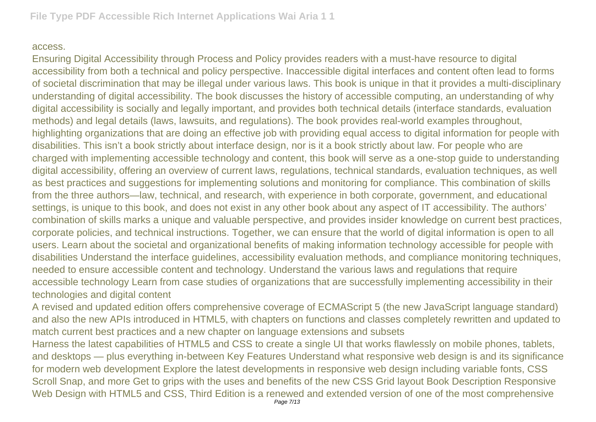## access.

Ensuring Digital Accessibility through Process and Policy provides readers with a must-have resource to digital accessibility from both a technical and policy perspective. Inaccessible digital interfaces and content often lead to forms of societal discrimination that may be illegal under various laws. This book is unique in that it provides a multi-disciplinary understanding of digital accessibility. The book discusses the history of accessible computing, an understanding of why digital accessibility is socially and legally important, and provides both technical details (interface standards, evaluation methods) and legal details (laws, lawsuits, and regulations). The book provides real-world examples throughout, highlighting organizations that are doing an effective job with providing equal access to digital information for people with disabilities. This isn't a book strictly about interface design, nor is it a book strictly about law. For people who are charged with implementing accessible technology and content, this book will serve as a one-stop guide to understanding digital accessibility, offering an overview of current laws, regulations, technical standards, evaluation techniques, as well as best practices and suggestions for implementing solutions and monitoring for compliance. This combination of skills from the three authors—law, technical, and research, with experience in both corporate, government, and educational settings, is unique to this book, and does not exist in any other book about any aspect of IT accessibility. The authors' combination of skills marks a unique and valuable perspective, and provides insider knowledge on current best practices, corporate policies, and technical instructions. Together, we can ensure that the world of digital information is open to all users. Learn about the societal and organizational benefits of making information technology accessible for people with disabilities Understand the interface guidelines, accessibility evaluation methods, and compliance monitoring techniques, needed to ensure accessible content and technology. Understand the various laws and regulations that require accessible technology Learn from case studies of organizations that are successfully implementing accessibility in their technologies and digital content

A revised and updated edition offers comprehensive coverage of ECMAScript 5 (the new JavaScript language standard) and also the new APIs introduced in HTML5, with chapters on functions and classes completely rewritten and updated to match current best practices and a new chapter on language extensions and subsets

Harness the latest capabilities of HTML5 and CSS to create a single UI that works flawlessly on mobile phones, tablets, and desktops — plus everything in-between Key Features Understand what responsive web design is and its significance for modern web development Explore the latest developments in responsive web design including variable fonts, CSS Scroll Snap, and more Get to grips with the uses and benefits of the new CSS Grid layout Book Description Responsive Web Design with HTML5 and CSS, Third Edition is a renewed and extended version of one of the most comprehensive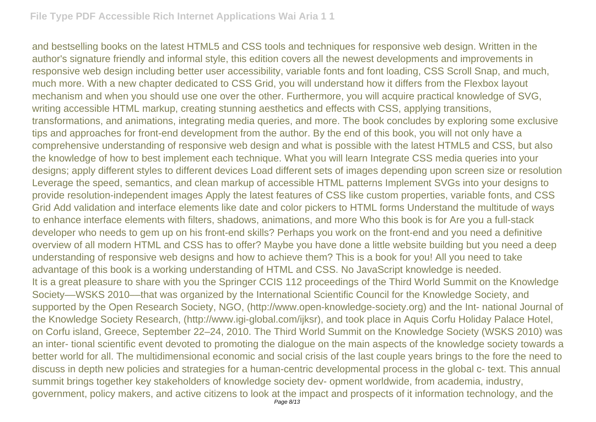and bestselling books on the latest HTML5 and CSS tools and techniques for responsive web design. Written in the author's signature friendly and informal style, this edition covers all the newest developments and improvements in responsive web design including better user accessibility, variable fonts and font loading, CSS Scroll Snap, and much, much more. With a new chapter dedicated to CSS Grid, you will understand how it differs from the Flexbox layout mechanism and when you should use one over the other. Furthermore, you will acquire practical knowledge of SVG, writing accessible HTML markup, creating stunning aesthetics and effects with CSS, applying transitions, transformations, and animations, integrating media queries, and more. The book concludes by exploring some exclusive tips and approaches for front-end development from the author. By the end of this book, you will not only have a comprehensive understanding of responsive web design and what is possible with the latest HTML5 and CSS, but also the knowledge of how to best implement each technique. What you will learn Integrate CSS media queries into your designs; apply different styles to different devices Load different sets of images depending upon screen size or resolution Leverage the speed, semantics, and clean markup of accessible HTML patterns Implement SVGs into your designs to provide resolution-independent images Apply the latest features of CSS like custom properties, variable fonts, and CSS Grid Add validation and interface elements like date and color pickers to HTML forms Understand the multitude of ways to enhance interface elements with filters, shadows, animations, and more Who this book is for Are you a full-stack developer who needs to gem up on his front-end skills? Perhaps you work on the front-end and you need a definitive overview of all modern HTML and CSS has to offer? Maybe you have done a little website building but you need a deep understanding of responsive web designs and how to achieve them? This is a book for you! All you need to take advantage of this book is a working understanding of HTML and CSS. No JavaScript knowledge is needed. It is a great pleasure to share with you the Springer CCIS 112 proceedings of the Third World Summit on the Knowledge Society––WSKS 2010––that was organized by the International Scientific Council for the Knowledge Society, and supported by the Open Research Society, NGO, (http://www.open-knowledge-society.org) and the Int- national Journal of the Knowledge Society Research, (http://www.igi-global.com/ijksr), and took place in Aquis Corfu Holiday Palace Hotel, on Corfu island, Greece, September 22–24, 2010. The Third World Summit on the Knowledge Society (WSKS 2010) was an inter- tional scientific event devoted to promoting the dialogue on the main aspects of the knowledge society towards a better world for all. The multidimensional economic and social crisis of the last couple years brings to the fore the need to discuss in depth new policies and strategies for a human-centric developmental process in the global c- text. This annual summit brings together key stakeholders of knowledge society dev- opment worldwide, from academia, industry, government, policy makers, and active citizens to look at the impact and prospects of it information technology, and the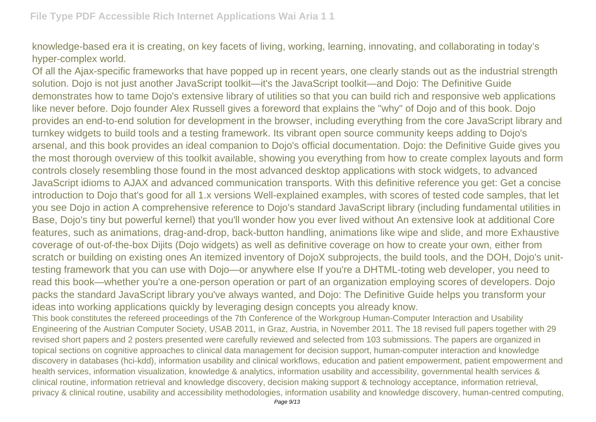knowledge-based era it is creating, on key facets of living, working, learning, innovating, and collaborating in today's hyper-complex world.

Of all the Ajax-specific frameworks that have popped up in recent years, one clearly stands out as the industrial strength solution. Dojo is not just another JavaScript toolkit—it's the JavaScript toolkit—and Dojo: The Definitive Guide demonstrates how to tame Dojo's extensive library of utilities so that you can build rich and responsive web applications like never before. Dojo founder Alex Russell gives a foreword that explains the "why" of Dojo and of this book. Dojo provides an end-to-end solution for development in the browser, including everything from the core JavaScript library and turnkey widgets to build tools and a testing framework. Its vibrant open source community keeps adding to Dojo's arsenal, and this book provides an ideal companion to Dojo's official documentation. Dojo: the Definitive Guide gives you the most thorough overview of this toolkit available, showing you everything from how to create complex layouts and form controls closely resembling those found in the most advanced desktop applications with stock widgets, to advanced JavaScript idioms to AJAX and advanced communication transports. With this definitive reference you get: Get a concise introduction to Dojo that's good for all 1.x versions Well-explained examples, with scores of tested code samples, that let you see Dojo in action A comprehensive reference to Dojo's standard JavaScript library (including fundamental utilities in Base, Dojo's tiny but powerful kernel) that you'll wonder how you ever lived without An extensive look at additional Core features, such as animations, drag-and-drop, back-button handling, animations like wipe and slide, and more Exhaustive coverage of out-of-the-box Dijits (Dojo widgets) as well as definitive coverage on how to create your own, either from scratch or building on existing ones An itemized inventory of DojoX subprojects, the build tools, and the DOH, Dojo's unittesting framework that you can use with Dojo—or anywhere else If you're a DHTML-toting web developer, you need to read this book—whether you're a one-person operation or part of an organization employing scores of developers. Dojo packs the standard JavaScript library you've always wanted, and Dojo: The Definitive Guide helps you transform your ideas into working applications quickly by leveraging design concepts you already know.

This book constitutes the refereed proceedings of the 7th Conference of the Workgroup Human-Computer Interaction and Usability Engineering of the Austrian Computer Society, USAB 2011, in Graz, Austria, in November 2011. The 18 revised full papers together with 29 revised short papers and 2 posters presented were carefully reviewed and selected from 103 submissions. The papers are organized in topical sections on cognitive approaches to clinical data management for decision support, human-computer interaction and knowledge discovery in databases (hci-kdd), information usability and clinical workflows, education and patient empowerment, patient empowerment and health services, information visualization, knowledge & analytics, information usability and accessibility, governmental health services & clinical routine, information retrieval and knowledge discovery, decision making support & technology acceptance, information retrieval, privacy & clinical routine, usability and accessibility methodologies, information usability and knowledge discovery, human-centred computing,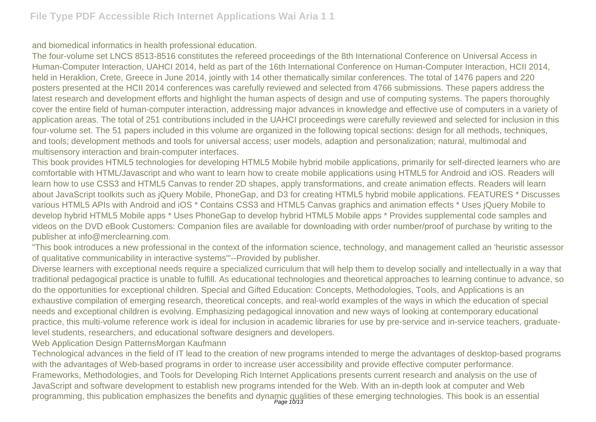and biomedical informatics in health professional education.

The four-volume set LNCS 8513-8516 constitutes the refereed proceedings of the 8th International Conference on Universal Access in Human-Computer Interaction, UAHCI 2014, held as part of the 16th International Conference on Human-Computer Interaction, HCII 2014, held in Heraklion, Crete, Greece in June 2014, jointly with 14 other thematically similar conferences. The total of 1476 papers and 220 posters presented at the HCII 2014 conferences was carefully reviewed and selected from 4766 submissions. These papers address the latest research and development efforts and highlight the human aspects of design and use of computing systems. The papers thoroughly cover the entire field of human-computer interaction, addressing major advances in knowledge and effective use of computers in a variety of application areas. The total of 251 contributions included in the UAHCI proceedings were carefully reviewed and selected for inclusion in this four-volume set. The 51 papers included in this volume are organized in the following topical sections: design for all methods, techniques, and tools; development methods and tools for universal access; user models, adaption and personalization; natural, multimodal and multisensory interaction and brain-computer interfaces.

This book provides HTML5 technologies for developing HTML5 Mobile hybrid mobile applications, primarily for self-directed learners who are comfortable with HTML/Javascript and who want to learn how to create mobile applications using HTML5 for Android and iOS. Readers will learn how to use CSS3 and HTML5 Canvas to render 2D shapes, apply transformations, and create animation effects. Readers will learn about JavaScript toolkits such as jQuery Mobile, PhoneGap, and D3 for creating HTML5 hybrid mobile applications. FEATURES \* Discusses various HTML5 APIs with Android and iOS \* Contains CSS3 and HTML5 Canvas graphics and animation effects \* Uses jQuery Mobile to develop hybrid HTML5 Mobile apps \* Uses PhoneGap to develop hybrid HTML5 Mobile apps \* Provides supplemental code samples and videos on the DVD eBook Customers: Companion files are available for downloading with order number/proof of purchase by writing to the publisher at info@merclearning.com.

"This book introduces a new professional in the context of the information science, technology, and management called an 'heuristic assessor of qualitative communicability in interactive systems'"--Provided by publisher.

Diverse learners with exceptional needs require a specialized curriculum that will help them to develop socially and intellectually in a way that traditional pedagogical practice is unable to fulfill. As educational technologies and theoretical approaches to learning continue to advance, so do the opportunities for exceptional children. Special and Gifted Education: Concepts, Methodologies, Tools, and Applications is an exhaustive compilation of emerging research, theoretical concepts, and real-world examples of the ways in which the education of special needs and exceptional children is evolving. Emphasizing pedagogical innovation and new ways of looking at contemporary educational practice, this multi-volume reference work is ideal for inclusion in academic libraries for use by pre-service and in-service teachers, graduatelevel students, researchers, and educational software designers and developers.

Web Application Design PatternsMorgan Kaufmann

Technological advances in the field of IT lead to the creation of new programs intended to merge the advantages of desktop-based programs with the advantages of Web-based programs in order to increase user accessibility and provide effective computer performance. Frameworks, Methodologies, and Tools for Developing Rich Internet Applications presents current research and analysis on the use of JavaScript and software development to establish new programs intended for the Web. With an in-depth look at computer and Web programming, this publication emphasizes the benefits and dynamic qualities of these emerging technologies. This book is an essential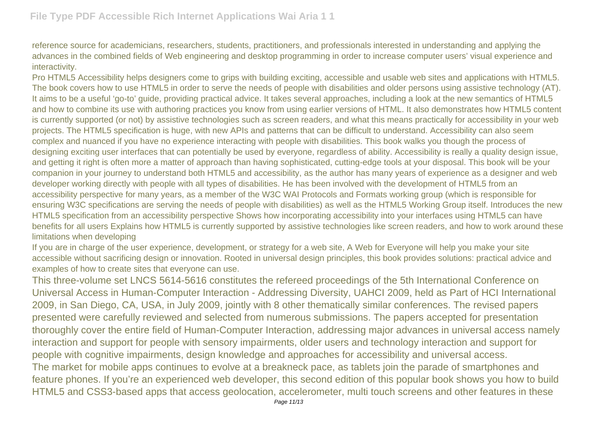reference source for academicians, researchers, students, practitioners, and professionals interested in understanding and applying the advances in the combined fields of Web engineering and desktop programming in order to increase computer users' visual experience and interactivity.

Pro HTML5 Accessibility helps designers come to grips with building exciting, accessible and usable web sites and applications with HTML5. The book covers how to use HTML5 in order to serve the needs of people with disabilities and older persons using assistive technology (AT). It aims to be a useful 'go-to' guide, providing practical advice. It takes several approaches, including a look at the new semantics of HTML5 and how to combine its use with authoring practices you know from using earlier versions of HTML. It also demonstrates how HTML5 content is currently supported (or not) by assistive technologies such as screen readers, and what this means practically for accessibility in your web projects. The HTML5 specification is huge, with new APIs and patterns that can be difficult to understand. Accessibility can also seem complex and nuanced if you have no experience interacting with people with disabilities. This book walks you though the process of designing exciting user interfaces that can potentially be used by everyone, regardless of ability. Accessibility is really a quality design issue, and getting it right is often more a matter of approach than having sophisticated, cutting-edge tools at your disposal. This book will be your companion in your journey to understand both HTML5 and accessibility, as the author has many years of experience as a designer and web developer working directly with people with all types of disabilities. He has been involved with the development of HTML5 from an accessibility perspective for many years, as a member of the W3C WAI Protocols and Formats working group (which is responsible for ensuring W3C specifications are serving the needs of people with disabilities) as well as the HTML5 Working Group itself. Introduces the new HTML5 specification from an accessibility perspective Shows how incorporating accessibility into your interfaces using HTML5 can have benefits for all users Explains how HTML5 is currently supported by assistive technologies like screen readers, and how to work around these limitations when developing

If you are in charge of the user experience, development, or strategy for a web site, A Web for Everyone will help you make your site accessible without sacrificing design or innovation. Rooted in universal design principles, this book provides solutions: practical advice and examples of how to create sites that everyone can use.

This three-volume set LNCS 5614-5616 constitutes the refereed proceedings of the 5th International Conference on Universal Access in Human-Computer Interaction - Addressing Diversity, UAHCI 2009, held as Part of HCI International 2009, in San Diego, CA, USA, in July 2009, jointly with 8 other thematically similar conferences. The revised papers presented were carefully reviewed and selected from numerous submissions. The papers accepted for presentation thoroughly cover the entire field of Human-Computer Interaction, addressing major advances in universal access namely interaction and support for people with sensory impairments, older users and technology interaction and support for people with cognitive impairments, design knowledge and approaches for accessibility and universal access. The market for mobile apps continues to evolve at a breakneck pace, as tablets join the parade of smartphones and feature phones. If you're an experienced web developer, this second edition of this popular book shows you how to build HTML5 and CSS3-based apps that access geolocation, accelerometer, multi touch screens and other features in these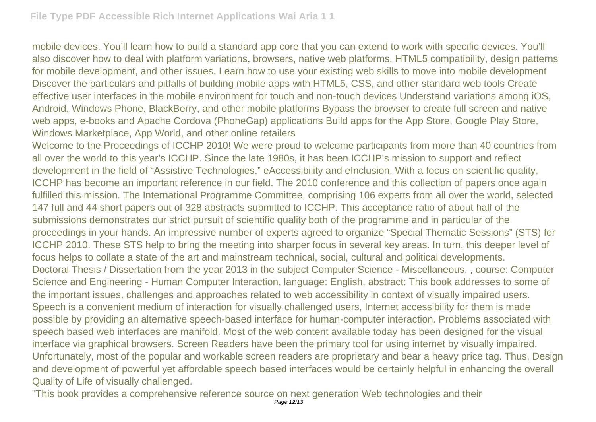mobile devices. You'll learn how to build a standard app core that you can extend to work with specific devices. You'll also discover how to deal with platform variations, browsers, native web platforms, HTML5 compatibility, design patterns for mobile development, and other issues. Learn how to use your existing web skills to move into mobile development Discover the particulars and pitfalls of building mobile apps with HTML5, CSS, and other standard web tools Create effective user interfaces in the mobile environment for touch and non-touch devices Understand variations among iOS, Android, Windows Phone, BlackBerry, and other mobile platforms Bypass the browser to create full screen and native web apps, e-books and Apache Cordova (PhoneGap) applications Build apps for the App Store, Google Play Store, Windows Marketplace, App World, and other online retailers

Welcome to the Proceedings of ICCHP 2010! We were proud to welcome participants from more than 40 countries from all over the world to this year's ICCHP. Since the late 1980s, it has been ICCHP's mission to support and reflect development in the field of "Assistive Technologies," eAccessibility and eInclusion. With a focus on scientific quality, ICCHP has become an important reference in our field. The 2010 conference and this collection of papers once again fulfilled this mission. The International Programme Committee, comprising 106 experts from all over the world, selected 147 full and 44 short papers out of 328 abstracts submitted to ICCHP. This acceptance ratio of about half of the submissions demonstrates our strict pursuit of scientific quality both of the programme and in particular of the proceedings in your hands. An impressive number of experts agreed to organize "Special Thematic Sessions" (STS) for ICCHP 2010. These STS help to bring the meeting into sharper focus in several key areas. In turn, this deeper level of focus helps to collate a state of the art and mainstream technical, social, cultural and political developments. Doctoral Thesis / Dissertation from the year 2013 in the subject Computer Science - Miscellaneous, , course: Computer Science and Engineering - Human Computer Interaction, language: English, abstract: This book addresses to some of the important issues, challenges and approaches related to web accessibility in context of visually impaired users. Speech is a convenient medium of interaction for visually challenged users, Internet accessibility for them is made possible by providing an alternative speech-based interface for human-computer interaction. Problems associated with speech based web interfaces are manifold. Most of the web content available today has been designed for the visual interface via graphical browsers. Screen Readers have been the primary tool for using internet by visually impaired. Unfortunately, most of the popular and workable screen readers are proprietary and bear a heavy price tag. Thus, Design and development of powerful yet affordable speech based interfaces would be certainly helpful in enhancing the overall Quality of Life of visually challenged.

"This book provides a comprehensive reference source on next generation Web technologies and their